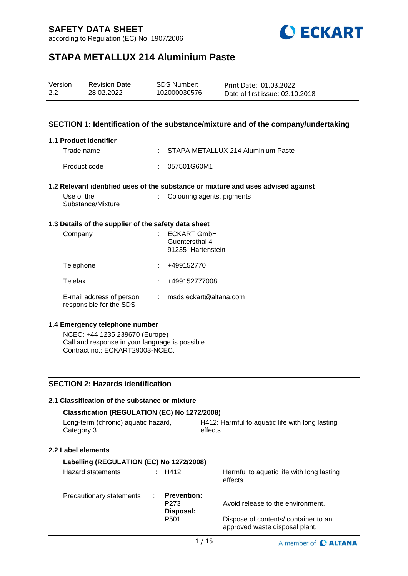according to Regulation (EC) No. 1907/2006



# **STAPA METALLUX 214 Aluminium Paste**

| Version | <b>Revision Date:</b> | SDS Number:  | Print Date: 01.03.2022          |
|---------|-----------------------|--------------|---------------------------------|
| 2.2     | 28.02.2022            | 102000030576 | Date of first issue: 02.10.2018 |

### **SECTION 1: Identification of the substance/mixture and of the company/undertaking**

### **1.1 Product identifier**

| Trade name   | : STAPA METALLUX 214 Aluminium Paste |
|--------------|--------------------------------------|
| Product code | : 057501G60M1                        |

### **1.2 Relevant identified uses of the substance or mixture and uses advised against**

| Use of the        | : Colouring agents, pigments |
|-------------------|------------------------------|
| Substance/Mixture |                              |

### **1.3 Details of the supplier of the safety data sheet**

| Company                                             | <b>ECKART GmbH</b><br>Guentersthal 4<br>91235 Hartenstein |
|-----------------------------------------------------|-----------------------------------------------------------|
| Telephone                                           | +499152770                                                |
| Telefax                                             | +499152777008                                             |
| E-mail address of person<br>responsible for the SDS | msds.eckart@altana.com                                    |

#### **1.4 Emergency telephone number**

NCEC: +44 1235 239670 (Europe) Call and response in your language is possible. Contract no.: ECKART29003-NCEC.

### **SECTION 2: Hazards identification**

| 2.1 Classification of the substance or mixture    |                                                     |                                                             |                                                                        |
|---------------------------------------------------|-----------------------------------------------------|-------------------------------------------------------------|------------------------------------------------------------------------|
| Classification (REGULATION (EC) No 1272/2008)     |                                                     |                                                             |                                                                        |
| Long-term (chronic) aquatic hazard,<br>Category 3 |                                                     | H412: Harmful to aquatic life with long lasting<br>effects. |                                                                        |
| 2.2 Label elements                                |                                                     |                                                             |                                                                        |
| Labelling (REGULATION (EC) No 1272/2008)          |                                                     |                                                             |                                                                        |
| Hazard statements                                 | $\therefore$ H412                                   |                                                             | Harmful to aquatic life with long lasting<br>effects.                  |
| Precautionary statements<br>÷.                    | <b>Prevention:</b><br>P <sub>273</sub><br>Disposal: |                                                             | Avoid release to the environment.                                      |
|                                                   | P <sub>501</sub>                                    |                                                             | Dispose of contents/ container to an<br>approved waste disposal plant. |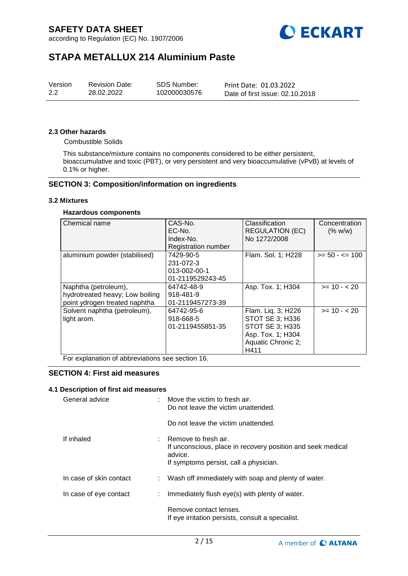according to Regulation (EC) No. 1907/2006



# **STAPA METALLUX 214 Aluminium Paste**

### **2.3 Other hazards**

Combustible Solids

This substance/mixture contains no components considered to be either persistent, bioaccumulative and toxic (PBT), or very persistent and very bioaccumulative (vPvB) at levels of 0.1% or higher.

### **SECTION 3: Composition/information on ingredients**

#### **3.2 Mixtures**

#### **Hazardous components**

| Chemical name                   | CAS-No.             | Classification         | Concentration     |
|---------------------------------|---------------------|------------------------|-------------------|
|                                 | EC-No.              | <b>REGULATION (EC)</b> | (% w/w)           |
|                                 | Index-No.           | No 1272/2008           |                   |
|                                 | Registration number |                        |                   |
| aluminium powder (stabilised)   | 7429-90-5           | Flam. Sol. 1; H228     | $>= 50 - 5 = 100$ |
|                                 | 231-072-3           |                        |                   |
|                                 | 013-002-00-1        |                        |                   |
|                                 | 01-2119529243-45    |                        |                   |
| Naphtha (petroleum),            | 64742-48-9          | Asp. Tox. 1; H304      | $>= 10 - 20$      |
| hydrotreated heavy; Low boiling | 918-481-9           |                        |                   |
| point ydrogen treated naphtha   | 01-2119457273-39    |                        |                   |
| Solvent naphtha (petroleum),    | 64742-95-6          | Flam. Liq. 3; H226     | $>= 10 - 20$      |
| light arom.                     | 918-668-5           | STOT SE 3; H336        |                   |
|                                 | 01-2119455851-35    | STOT SE 3; H335        |                   |
|                                 |                     | Asp. Tox. 1; H304      |                   |
|                                 |                     | Aquatic Chronic 2;     |                   |
|                                 |                     | H411                   |                   |

For explanation of abbreviations see section 16.

### **SECTION 4: First aid measures**

#### **4.1 Description of first aid measures**

| General advice          |   | : Move the victim to fresh air.<br>Do not leave the victim unattended.                                                                       |
|-------------------------|---|----------------------------------------------------------------------------------------------------------------------------------------------|
|                         |   | Do not leave the victim unattended.                                                                                                          |
| If inhaled              |   | $:$ Remove to fresh air.<br>If unconscious, place in recovery position and seek medical<br>advice.<br>If symptoms persist, call a physician. |
| In case of skin contact |   | : Wash off immediately with soap and plenty of water.                                                                                        |
| In case of eye contact  | ÷ | Immediately flush eye(s) with plenty of water.                                                                                               |
|                         |   | Remove contact lenses.<br>If eye irritation persists, consult a specialist.                                                                  |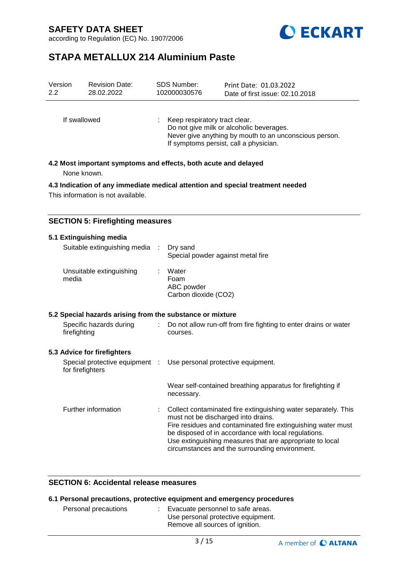



# **STAPA METALLUX 214 Aluminium Paste**

| Version<br>2.2                                                  | <b>Revision Date:</b><br>28.02.2022 | <b>SDS Number:</b><br>102000030576 | Print Date: 01.03.2022<br>Date of first issue: 02.10.2018                                                                                    |  |  |  |
|-----------------------------------------------------------------|-------------------------------------|------------------------------------|----------------------------------------------------------------------------------------------------------------------------------------------|--|--|--|
| If swallowed                                                    |                                     | Keep respiratory tract clear.      | Do not give milk or alcoholic beverages.<br>Never give anything by mouth to an unconscious person.<br>If symptoms persist, call a physician. |  |  |  |
| 4.2 Most important symptoms and effects, both acute and delayed |                                     |                                    |                                                                                                                                              |  |  |  |

None known.

**4.3 Indication of any immediate medical attention and special treatment needed**

This information is not available.

### **SECTION 5: Firefighting measures**

### **5.1 Extinguishing media**

| Suitable extinguishing media : Dry sand                   | Special powder against metal fire                                            |
|-----------------------------------------------------------|------------------------------------------------------------------------------|
| Unsuitable extinguishing<br>media                         | Water<br>Foam<br>ABC powder<br>Carbon dioxide (CO2)                          |
| 5.2 Special hazards arising from the substance or mixture |                                                                              |
| Specific hazards during<br>firefighting                   | Do not allow run-off from fire fighting to enter drains or water<br>courses. |

### **5.3 Advice for firefighters**

| for firefighters    |  | Special protective equipment : Use personal protective equipment.                                                                                                                                                                                                                                                                             |  |
|---------------------|--|-----------------------------------------------------------------------------------------------------------------------------------------------------------------------------------------------------------------------------------------------------------------------------------------------------------------------------------------------|--|
|                     |  | Wear self-contained breathing apparatus for firefighting if<br>necessary.                                                                                                                                                                                                                                                                     |  |
| Further information |  | : Collect contaminated fire extinguishing water separately. This<br>must not be discharged into drains.<br>Fire residues and contaminated fire extinguishing water must<br>be disposed of in accordance with local regulations.<br>Use extinguishing measures that are appropriate to local<br>circumstances and the surrounding environment. |  |

### **SECTION 6: Accidental release measures**

| 6.1 Personal precautions, protective equipment and emergency procedures |  |                                                                                                              |  |  |  |
|-------------------------------------------------------------------------|--|--------------------------------------------------------------------------------------------------------------|--|--|--|
| Personal precautions                                                    |  | : Evacuate personnel to safe areas.<br>Use personal protective equipment.<br>Remove all sources of ignition. |  |  |  |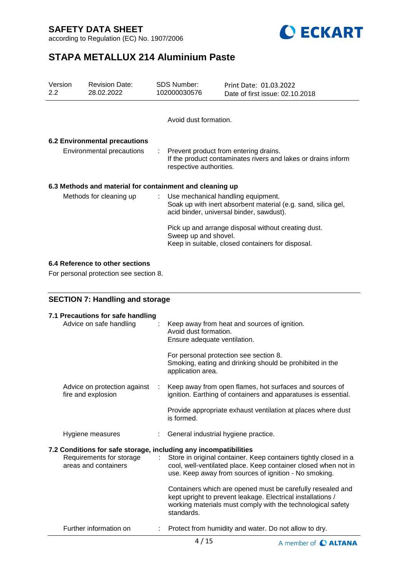according to Regulation (EC) No. 1907/2006



# **STAPA METALLUX 214 Aluminium Paste**

| Version<br>2.2            | <b>Revision Date:</b><br>28.02.2022                      | <b>SDS Number:</b><br>102000030576   | Print Date: 01.03.2022<br>Date of first issue: 02.10.2018                                                                           |  |  |
|---------------------------|----------------------------------------------------------|--------------------------------------|-------------------------------------------------------------------------------------------------------------------------------------|--|--|
|                           |                                                          | Avoid dust formation.                |                                                                                                                                     |  |  |
|                           | 6.2 Environmental precautions                            |                                      |                                                                                                                                     |  |  |
| Environmental precautions |                                                          |                                      | : Prevent product from entering drains.<br>If the product contaminates rivers and lakes or drains inform<br>respective authorities. |  |  |
|                           | 6.3 Methods and material for containment and cleaning up |                                      |                                                                                                                                     |  |  |
|                           | Methods for cleaning up                                  | : Use mechanical handling equipment. | Soak up with inert absorbent material (e.g. sand, silica gel,<br>acid binder, universal binder, sawdust).                           |  |  |
|                           |                                                          | Sweep up and shovel.                 | Pick up and arrange disposal without creating dust.<br>Keep in suitable, closed containers for disposal.                            |  |  |

### **6.4 Reference to other sections**

For personal protection see section 8.

# **SECTION 7: Handling and storage**

| 7.1 Precautions for safe handling<br>Advice on safe handling                                                         | Keep away from heat and sources of ignition.<br>Avoid dust formation.<br>Ensure adequate ventilation.<br>For personal protection see section 8.<br>Smoking, eating and drinking should be prohibited in the<br>application area. |
|----------------------------------------------------------------------------------------------------------------------|----------------------------------------------------------------------------------------------------------------------------------------------------------------------------------------------------------------------------------|
| Advice on protection against<br>fire and explosion                                                                   | Keep away from open flames, hot surfaces and sources of<br>ignition. Earthing of containers and apparatuses is essential.                                                                                                        |
|                                                                                                                      | Provide appropriate exhaust ventilation at places where dust<br>is formed.                                                                                                                                                       |
| Hygiene measures                                                                                                     | General industrial hygiene practice.                                                                                                                                                                                             |
| 7.2 Conditions for safe storage, including any incompatibilities<br>Requirements for storage<br>areas and containers | Store in original container. Keep containers tightly closed in a<br>cool, well-ventilated place. Keep container closed when not in<br>use. Keep away from sources of ignition - No smoking.                                      |
|                                                                                                                      | Containers which are opened must be carefully resealed and<br>kept upright to prevent leakage. Electrical installations /<br>working materials must comply with the technological safety<br>standards.                           |
| Further information on                                                                                               | Protect from humidity and water. Do not allow to dry.                                                                                                                                                                            |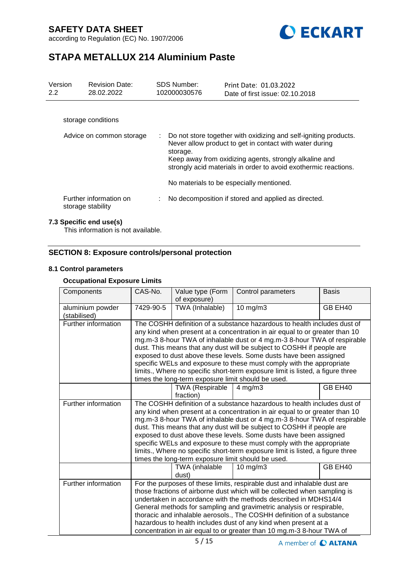according to Regulation (EC) No. 1907/2006



# **STAPA METALLUX 214 Aluminium Paste**

| Version<br>2.2           | <b>Revision Date:</b><br>28.02.2022         |    | SDS Number:<br>102000030576 | Print Date: 01.03.2022<br>Date of first issue: 02.10.2018                                                                                                                                                                                                                                            |
|--------------------------|---------------------------------------------|----|-----------------------------|------------------------------------------------------------------------------------------------------------------------------------------------------------------------------------------------------------------------------------------------------------------------------------------------------|
|                          | storage conditions                          |    |                             |                                                                                                                                                                                                                                                                                                      |
| Advice on common storage |                                             | ÷. | storage.                    | Do not store together with oxidizing and self-igniting products.<br>Never allow product to get in contact with water during<br>Keep away from oxidizing agents, strongly alkaline and<br>strongly acid materials in order to avoid exothermic reactions.<br>No materials to be especially mentioned. |
|                          | Further information on<br>storage stability |    |                             | No decomposition if stored and applied as directed.                                                                                                                                                                                                                                                  |

### **7.3 Specific end use(s)**

This information is not available.

### **SECTION 8: Exposure controls/personal protection**

### **8.1 Control parameters**

### **Occupational Exposure Limits**

| Components                       | CAS-No.                                                                                                                                                                                                                                                                                                                                                                                                                                                                                                                                                                                           | Value type (Form<br>of exposure)    | Control parameters                                                                                                                                                                                                                                                                                                                                                                                                                                                                                                    | <b>Basis</b> |  |
|----------------------------------|---------------------------------------------------------------------------------------------------------------------------------------------------------------------------------------------------------------------------------------------------------------------------------------------------------------------------------------------------------------------------------------------------------------------------------------------------------------------------------------------------------------------------------------------------------------------------------------------------|-------------------------------------|-----------------------------------------------------------------------------------------------------------------------------------------------------------------------------------------------------------------------------------------------------------------------------------------------------------------------------------------------------------------------------------------------------------------------------------------------------------------------------------------------------------------------|--------------|--|
| aluminium powder<br>(stabilised) | 7429-90-5                                                                                                                                                                                                                                                                                                                                                                                                                                                                                                                                                                                         | TWA (Inhalable)                     | 10 mg/m3                                                                                                                                                                                                                                                                                                                                                                                                                                                                                                              | GB EH40      |  |
| Further information              | The COSHH definition of a substance hazardous to health includes dust of<br>any kind when present at a concentration in air equal to or greater than 10<br>mg.m-3 8-hour TWA of inhalable dust or 4 mg.m-3 8-hour TWA of respirable<br>dust. This means that any dust will be subject to COSHH if people are<br>exposed to dust above these levels. Some dusts have been assigned<br>specific WELs and exposure to these must comply with the appropriate<br>limits., Where no specific short-term exposure limit is listed, a figure three<br>times the long-term exposure limit should be used. |                                     |                                                                                                                                                                                                                                                                                                                                                                                                                                                                                                                       |              |  |
|                                  |                                                                                                                                                                                                                                                                                                                                                                                                                                                                                                                                                                                                   | <b>TWA (Respirable</b><br>fraction) | $4$ mg/m $3$                                                                                                                                                                                                                                                                                                                                                                                                                                                                                                          | GB EH40      |  |
| Further information              | The COSHH definition of a substance hazardous to health includes dust of<br>any kind when present at a concentration in air equal to or greater than 10<br>mg.m-3 8-hour TWA of inhalable dust or 4 mg.m-3 8-hour TWA of respirable<br>dust. This means that any dust will be subject to COSHH if people are<br>exposed to dust above these levels. Some dusts have been assigned<br>specific WELs and exposure to these must comply with the appropriate<br>limits., Where no specific short-term exposure limit is listed, a figure three<br>times the long-term exposure limit should be used. |                                     |                                                                                                                                                                                                                                                                                                                                                                                                                                                                                                                       |              |  |
|                                  |                                                                                                                                                                                                                                                                                                                                                                                                                                                                                                                                                                                                   | TWA (inhalable<br>dust)             | $10 \text{ mg/m}$ 3                                                                                                                                                                                                                                                                                                                                                                                                                                                                                                   | GB EH40      |  |
| Further information              |                                                                                                                                                                                                                                                                                                                                                                                                                                                                                                                                                                                                   |                                     | For the purposes of these limits, respirable dust and inhalable dust are<br>those fractions of airborne dust which will be collected when sampling is<br>undertaken in accordance with the methods described in MDHS14/4<br>General methods for sampling and gravimetric analysis or respirable,<br>thoracic and inhalable aerosols., The COSHH definition of a substance<br>hazardous to health includes dust of any kind when present at a<br>concentration in air equal to or greater than 10 mg.m-3 8-hour TWA of |              |  |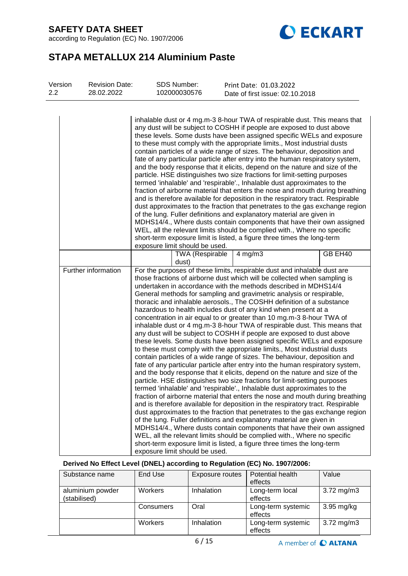according to Regulation (EC) No. 1907/2006



# **STAPA METALLUX 214 Aluminium Paste**

| Version<br>$2.2\phantom{0}$ | <b>Revision Date:</b><br>28.02.2022 | SDS Number:<br>102000030576     | Print Date: 01.03.2022<br>Date of first issue: 02.10.2018                                                                                                                                                                                                                                                                                                                                                                                                                                                                                                                                                                                                                                                                                                                                                                                                                                                                                                                                                                                                                                                                                                                                                                                                                                                                                                                                                                                                                                                                                                                                                                                                                                                                                                                                                                                                                           |         |
|-----------------------------|-------------------------------------|---------------------------------|-------------------------------------------------------------------------------------------------------------------------------------------------------------------------------------------------------------------------------------------------------------------------------------------------------------------------------------------------------------------------------------------------------------------------------------------------------------------------------------------------------------------------------------------------------------------------------------------------------------------------------------------------------------------------------------------------------------------------------------------------------------------------------------------------------------------------------------------------------------------------------------------------------------------------------------------------------------------------------------------------------------------------------------------------------------------------------------------------------------------------------------------------------------------------------------------------------------------------------------------------------------------------------------------------------------------------------------------------------------------------------------------------------------------------------------------------------------------------------------------------------------------------------------------------------------------------------------------------------------------------------------------------------------------------------------------------------------------------------------------------------------------------------------------------------------------------------------------------------------------------------------|---------|
|                             |                                     | exposure limit should be used.  | inhalable dust or 4 mg.m-3 8-hour TWA of respirable dust. This means that<br>any dust will be subject to COSHH if people are exposed to dust above<br>these levels. Some dusts have been assigned specific WELs and exposure<br>to these must comply with the appropriate limits., Most industrial dusts<br>contain particles of a wide range of sizes. The behaviour, deposition and<br>fate of any particular particle after entry into the human respiratory system,<br>and the body response that it elicits, depend on the nature and size of the<br>particle. HSE distinguishes two size fractions for limit-setting purposes<br>termed 'inhalable' and 'respirable'., Inhalable dust approximates to the<br>fraction of airborne material that enters the nose and mouth during breathing<br>and is therefore available for deposition in the respiratory tract. Respirable<br>dust approximates to the fraction that penetrates to the gas exchange region<br>of the lung. Fuller definitions and explanatory material are given in<br>MDHS14/4., Where dusts contain components that have their own assigned<br>WEL, all the relevant limits should be complied with., Where no specific<br>short-term exposure limit is listed, a figure three times the long-term                                                                                                                                                                                                                                                                                                                                                                                                                                                                                                                                                                                                        |         |
|                             |                                     | <b>TWA (Respirable</b><br>dust) | $4$ mg/m $3$                                                                                                                                                                                                                                                                                                                                                                                                                                                                                                                                                                                                                                                                                                                                                                                                                                                                                                                                                                                                                                                                                                                                                                                                                                                                                                                                                                                                                                                                                                                                                                                                                                                                                                                                                                                                                                                                        | GB EH40 |
|                             | Further information                 | exposure limit should be used.  | For the purposes of these limits, respirable dust and inhalable dust are<br>those fractions of airborne dust which will be collected when sampling is<br>undertaken in accordance with the methods described in MDHS14/4<br>General methods for sampling and gravimetric analysis or respirable,<br>thoracic and inhalable aerosols., The COSHH definition of a substance<br>hazardous to health includes dust of any kind when present at a<br>concentration in air equal to or greater than 10 mg.m-3 8-hour TWA of<br>inhalable dust or 4 mg.m-3 8-hour TWA of respirable dust. This means that<br>any dust will be subject to COSHH if people are exposed to dust above<br>these levels. Some dusts have been assigned specific WELs and exposure<br>to these must comply with the appropriate limits., Most industrial dusts<br>contain particles of a wide range of sizes. The behaviour, deposition and<br>fate of any particular particle after entry into the human respiratory system,<br>and the body response that it elicits, depend on the nature and size of the<br>particle. HSE distinguishes two size fractions for limit-setting purposes<br>termed 'inhalable' and 'respirable'., Inhalable dust approximates to the<br>fraction of airborne material that enters the nose and mouth during breathing<br>and is therefore available for deposition in the respiratory tract. Respirable<br>dust approximates to the fraction that penetrates to the gas exchange region<br>of the lung. Fuller definitions and explanatory material are given in<br>MDHS14/4., Where dusts contain components that have their own assigned<br>WEL, all the relevant limits should be complied with., Where no specific<br>short-term exposure limit is listed, a figure three times the long-term<br>Derived No Effect Level (DNEL) according to Regulation (EC) No. 1907/2006: |         |

| Substance name                   | End Use        | Exposure routes   | Potential health<br>effects   | Value                   |
|----------------------------------|----------------|-------------------|-------------------------------|-------------------------|
| aluminium powder<br>(stabilised) | <b>Workers</b> | <b>Inhalation</b> | Long-term local<br>effects    | $3.72 \,\mathrm{mg/m3}$ |
|                                  | Consumers      | Oral              | Long-term systemic<br>effects | 3.95 mg/kg              |
|                                  | Workers        | Inhalation        | Long-term systemic<br>effects | $3.72 \,\mathrm{mg/m3}$ |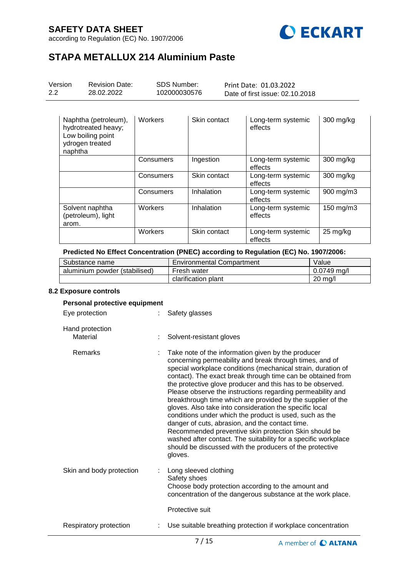according to Regulation (EC) No. 1907/2006



# **STAPA METALLUX 214 Aluminium Paste**

| Version<br>$2.2^{\circ}$ | <b>Revision Date:</b><br>28.02.2022                                                 | <b>SDS Number:</b><br>102000030576 |              | Print Date: 01.03.2022<br>Date of first issue: 02.10.2018 |           |
|--------------------------|-------------------------------------------------------------------------------------|------------------------------------|--------------|-----------------------------------------------------------|-----------|
| naphtha                  | Naphtha (petroleum),<br>hydrotreated heavy;<br>Low boiling point<br>ydrogen treated | <b>Workers</b>                     | Skin contact | Long-term systemic<br>effects                             | 300 mg/kg |
|                          |                                                                                     | Consumers                          | Ingestion    | Long-term systemic<br>effects                             | 300 mg/kg |
|                          |                                                                                     | Consumers                          | Skin contact | Long-term systemic<br>effects                             | 300 mg/kg |
|                          |                                                                                     | Consumers                          | Inhalation   | Long-term systemic<br>effects                             | 900 mg/m3 |
| arom.                    | Solvent naphtha<br>(petroleum), light                                               | Workers                            | Inhalation   | Long-term systemic<br>effects                             | 150 mg/m3 |
|                          |                                                                                     | Workers                            | Skin contact | Long-term systemic<br>effects                             | 25 mg/kg  |

### **Predicted No Effect Concentration (PNEC) according to Regulation (EC) No. 1907/2006:**

| Substance name                | <b>Environmental Compartment</b> | Value              |
|-------------------------------|----------------------------------|--------------------|
| aluminium powder (stabilised) | Fresh water                      | $0.0749$ ma/l      |
|                               | clarification plant              | $20 \text{ m}$ g/l |

#### **8.2 Exposure controls**

### **Personal protective equipment** Eye protection : Safety glasses Hand protection Material : Solvent-resistant gloves Remarks : Take note of the information given by the producer concerning permeability and break through times, and of special workplace conditions (mechanical strain, duration of contact). The exact break through time can be obtained from the protective glove producer and this has to be observed. Please observe the instructions regarding permeability and breakthrough time which are provided by the supplier of the gloves. Also take into consideration the specific local conditions under which the product is used, such as the danger of cuts, abrasion, and the contact time. Recommended preventive skin protection Skin should be

washed after contact. The suitability for a specific workplace should be discussed with the producers of the protective gloves. Skin and body protection : Long sleeved clothing Safety shoes Choose body protection according to the amount and concentration of the dangerous substance at the work place. Protective suit Respiratory protection : Use suitable breathing protection if workplace concentration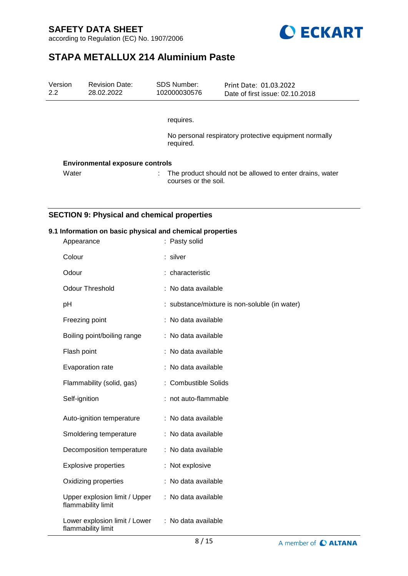according to Regulation (EC) No. 1907/2006



# **STAPA METALLUX 214 Aluminium Paste**

| Version<br>2.2 | <b>Revision Date:</b><br>28.02.2022    | SDS Number:<br>102000030576 | Print Date: 01.03.2022<br>Date of first issue: 02.10.2018 |
|----------------|----------------------------------------|-----------------------------|-----------------------------------------------------------|
|                |                                        |                             |                                                           |
|                |                                        | requires.                   |                                                           |
| required.      |                                        |                             | No personal respiratory protective equipment normally     |
|                | <b>Environmental exposure controls</b> |                             |                                                           |
| Water          |                                        | t.<br>courses or the soil.  | The product should not be allowed to enter drains, water  |

### **SECTION 9: Physical and chemical properties**

### **9.1 Information on basic physical and chemical properties**

| Appearance                                          | : Pasty solid                                 |
|-----------------------------------------------------|-----------------------------------------------|
| Colour                                              | : silver                                      |
| Odour                                               | : characteristic                              |
| <b>Odour Threshold</b>                              | No data available                             |
| pH                                                  | : substance/mixture is non-soluble (in water) |
| Freezing point                                      | No data available                             |
| Boiling point/boiling range                         | No data available                             |
| Flash point                                         | No data available                             |
| Evaporation rate                                    | No data available                             |
| Flammability (solid, gas)                           | <b>Combustible Solids</b>                     |
| Self-ignition                                       | : not auto-flammable                          |
| Auto-ignition temperature                           | : No data available                           |
| Smoldering temperature                              | No data available                             |
| Decomposition temperature                           | No data available                             |
| <b>Explosive properties</b>                         | Not explosive                                 |
| Oxidizing properties                                | No data available                             |
| Upper explosion limit / Upper<br>flammability limit | : No data available                           |
| Lower explosion limit / Lower<br>flammability limit | : No data available                           |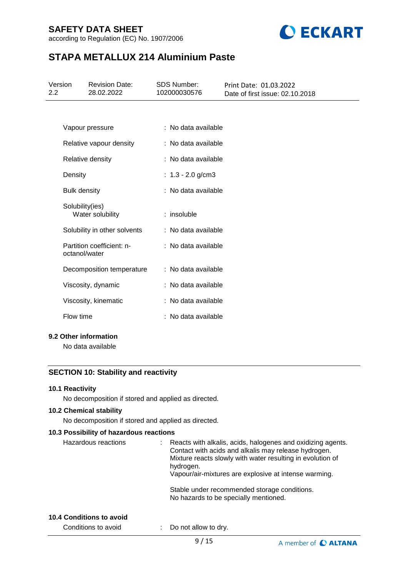according to Regulation (EC) No. 1907/2006



# **STAPA METALLUX 214 Aluminium Paste**

| Version<br>2.2 | <b>Revision Date:</b><br>28.02.2022        | <b>SDS Number:</b><br>102000030576 | Print Date: 01.03.2022<br>Date of first issue: 02.10.2018 |
|----------------|--------------------------------------------|------------------------------------|-----------------------------------------------------------|
|                |                                            |                                    |                                                           |
|                | Vapour pressure                            | : No data available                |                                                           |
|                | Relative vapour density                    | : No data available                |                                                           |
|                | Relative density                           | : No data available                |                                                           |
| Density        |                                            | : $1.3 - 2.0$ g/cm3                |                                                           |
|                | <b>Bulk density</b>                        | : No data available                |                                                           |
|                | Solubility(ies)<br>Water solubility        | : insoluble                        |                                                           |
|                | Solubility in other solvents               | : No data available                |                                                           |
|                | Partition coefficient: n-<br>octanol/water | : No data available                |                                                           |
|                | Decomposition temperature                  | : No data available                |                                                           |
|                | Viscosity, dynamic                         | : No data available                |                                                           |
|                | Viscosity, kinematic                       | : No data available                |                                                           |
| Flow time      |                                            | : No data available                |                                                           |
|                |                                            |                                    |                                                           |

### **9.2 Other information**

No data available

### **SECTION 10: Stability and reactivity**

### **10.1 Reactivity**

No decomposition if stored and applied as directed.

### **10.2 Chemical stability**

No decomposition if stored and applied as directed.

### **10.3 Possibility of hazardous reactions**

| Hazardous reactions | Reacts with alkalis, acids, halogenes and oxidizing agents.<br>Contact with acids and alkalis may release hydrogen.<br>Mixture reacts slowly with water resulting in evolution of<br>hydrogen.<br>Vapour/air-mixtures are explosive at intense warming. |
|---------------------|---------------------------------------------------------------------------------------------------------------------------------------------------------------------------------------------------------------------------------------------------------|
|                     | Stable under recommended storage conditions.<br>No hazards to be specially mentioned.                                                                                                                                                                   |

#### **10.4 Conditions to avoid**

Conditions to avoid : Do not allow to dry.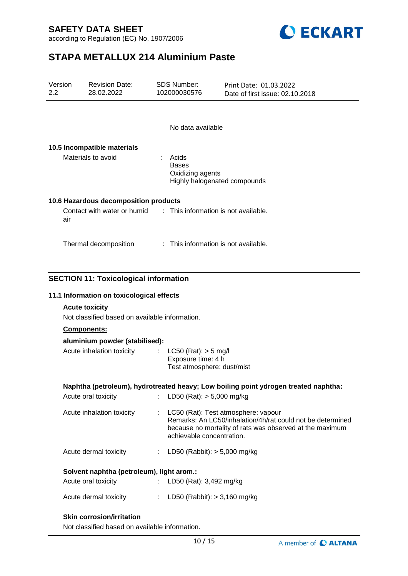according to Regulation (EC) No. 1907/2006



# **STAPA METALLUX 214 Aluminium Paste**

| Version<br>2.2                            | <b>Revision Date:</b><br>28.02.2022                                                                                                                                                                | <b>SDS Number:</b><br>102000030576               | Print Date: 01.03.2022<br>Date of first issue: 02.10.2018                                                                                                     |
|-------------------------------------------|----------------------------------------------------------------------------------------------------------------------------------------------------------------------------------------------------|--------------------------------------------------|---------------------------------------------------------------------------------------------------------------------------------------------------------------|
|                                           |                                                                                                                                                                                                    | No data available                                |                                                                                                                                                               |
|                                           | 10.5 Incompatible materials                                                                                                                                                                        |                                                  |                                                                                                                                                               |
| Materials to avoid                        |                                                                                                                                                                                                    | Acids<br><b>Bases</b><br>Oxidizing agents        | Highly halogenated compounds                                                                                                                                  |
|                                           | 10.6 Hazardous decomposition products                                                                                                                                                              |                                                  |                                                                                                                                                               |
| air                                       | Contact with water or humid                                                                                                                                                                        |                                                  | : This information is not available.                                                                                                                          |
|                                           | Thermal decomposition                                                                                                                                                                              |                                                  | : This information is not available.                                                                                                                          |
|                                           | 11.1 Information on toxicological effects<br><b>Acute toxicity</b><br>Not classified based on available information.<br>Components:<br>aluminium powder (stabilised):<br>Acute inhalation toxicity | $LC50$ (Rat): $> 5$ mg/l                         |                                                                                                                                                               |
|                                           |                                                                                                                                                                                                    | Exposure time: 4 h<br>Test atmosphere: dust/mist |                                                                                                                                                               |
|                                           |                                                                                                                                                                                                    |                                                  | Naphtha (petroleum), hydrotreated heavy; Low boiling point ydrogen treated naphtha:                                                                           |
|                                           | Acute oral toxicity                                                                                                                                                                                | LD50 (Rat): $> 5,000$ mg/kg<br>t.                |                                                                                                                                                               |
|                                           | Acute inhalation toxicity                                                                                                                                                                          | ÷<br>achievable concentration.                   | LC50 (Rat): Test atmosphere: vapour<br>Remarks: An LC50/inhalation/4h/rat could not be determined<br>because no mortality of rats was observed at the maximum |
|                                           | Acute dermal toxicity                                                                                                                                                                              | : LD50 (Rabbit): $> 5,000$ mg/kg                 |                                                                                                                                                               |
| Solvent naphtha (petroleum), light arom.: |                                                                                                                                                                                                    |                                                  |                                                                                                                                                               |
|                                           | Acute oral toxicity                                                                                                                                                                                | LD50 (Rat): 3,492 mg/kg                          |                                                                                                                                                               |
|                                           | Acute dermal toxicity                                                                                                                                                                              | : LD50 (Rabbit): $> 3,160$ mg/kg                 |                                                                                                                                                               |
|                                           | <b>Skin corrosion/irritation</b><br>Not classified based on available information.                                                                                                                 |                                                  |                                                                                                                                                               |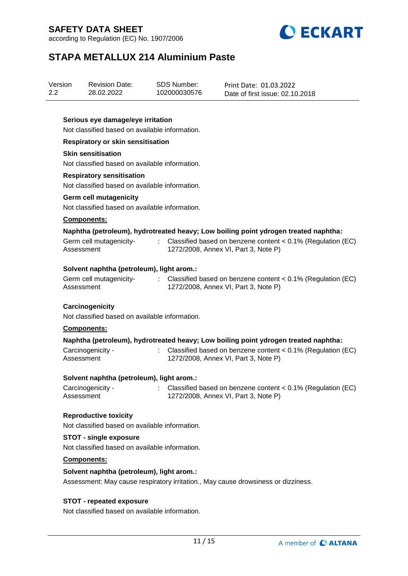according to Regulation (EC) No. 1907/2006



# **STAPA METALLUX 214 Aluminium Paste**

| Version<br>2.2 |             | <b>Revision Date:</b><br>28.02.2022            | <b>SDS Number:</b><br>102000030576 | Print Date: 01.03.2022<br>Date of first issue: 02.10.2018                                                |
|----------------|-------------|------------------------------------------------|------------------------------------|----------------------------------------------------------------------------------------------------------|
|                |             | Serious eye damage/eye irritation              |                                    |                                                                                                          |
|                |             | Not classified based on available information. |                                    |                                                                                                          |
|                |             | <b>Respiratory or skin sensitisation</b>       |                                    |                                                                                                          |
|                |             | <b>Skin sensitisation</b>                      |                                    |                                                                                                          |
|                |             | Not classified based on available information. |                                    |                                                                                                          |
|                |             | <b>Respiratory sensitisation</b>               |                                    |                                                                                                          |
|                |             | Not classified based on available information. |                                    |                                                                                                          |
|                |             | <b>Germ cell mutagenicity</b>                  |                                    |                                                                                                          |
|                |             | Not classified based on available information. |                                    |                                                                                                          |
|                | Components: |                                                |                                    |                                                                                                          |
|                |             |                                                |                                    | Naphtha (petroleum), hydrotreated heavy; Low boiling point ydrogen treated naphtha:                      |
|                | Assessment  | Germ cell mutagenicity-                        | $\mathcal{L}^{(1)}$                | Classified based on benzene content $< 0.1\%$ (Regulation (EC)<br>1272/2008, Annex VI, Part 3, Note P)   |
|                |             | Solvent naphtha (petroleum), light arom.:      |                                    |                                                                                                          |
|                | Assessment  | Germ cell mutagenicity-                        |                                    | : Classified based on benzene content $< 0.1\%$ (Regulation (EC)<br>1272/2008, Annex VI, Part 3, Note P) |
|                |             | Carcinogenicity                                |                                    |                                                                                                          |
|                |             | Not classified based on available information. |                                    |                                                                                                          |
|                | Components: |                                                |                                    |                                                                                                          |
|                |             |                                                |                                    | Naphtha (petroleum), hydrotreated heavy; Low boiling point ydrogen treated naphtha:                      |
|                | Assessment  | Carcinogenicity -                              |                                    | Classified based on benzene content $< 0.1\%$ (Regulation (EC)<br>1272/2008, Annex VI, Part 3, Note P)   |

### **Solvent naphtha (petroleum), light arom.:**

| Carcinogenicity - | Classified based on benzene content $< 0.1\%$ (Regulation (EC) |
|-------------------|----------------------------------------------------------------|
| Assessment        | 1272/2008, Annex VI, Part 3, Note P)                           |

### **Reproductive toxicity**

Not classified based on available information.

### **STOT - single exposure**

Not classified based on available information.

### **Components:**

### **Solvent naphtha (petroleum), light arom.:**

Assessment: May cause respiratory irritation., May cause drowsiness or dizziness.

### **STOT - repeated exposure**

Not classified based on available information.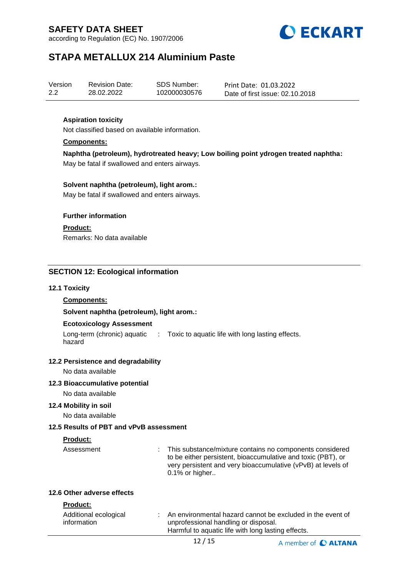according to Regulation (EC) No. 1907/2006



# **STAPA METALLUX 214 Aluminium Paste**

| Version | <b>Revision Date:</b> | SDS Number:  | Print Date: 01.03.2022          |
|---------|-----------------------|--------------|---------------------------------|
| 2.2     | 28.02.2022            | 102000030576 | Date of first issue: 02.10.2018 |

### **Aspiration toxicity**

Not classified based on available information.

### **Components:**

**Naphtha (petroleum), hydrotreated heavy; Low boiling point ydrogen treated naphtha:** May be fatal if swallowed and enters airways.

### **Solvent naphtha (petroleum), light arom.:**

May be fatal if swallowed and enters airways.

### **Further information**

**Product:**

Remarks: No data available

### **SECTION 12: Ecological information**

### **12.1 Toxicity**

### **Components:**

**Solvent naphtha (petroleum), light arom.:**

#### **Ecotoxicology Assessment**

Long-term (chronic) aquatic : Toxic to aquatic life with long lasting effects. hazard

### **12.2 Persistence and degradability**

No data available

### **12.3 Bioaccumulative potential**

No data available

### **12.4 Mobility in soil**

No data available

### **12.5 Results of PBT and vPvB assessment**

### **Product:**

Assessment : This substance/mixture contains no components considered to be either persistent, bioaccumulative and toxic (PBT), or very persistent and very bioaccumulative (vPvB) at levels of 0.1% or higher..

### **12.6 Other adverse effects**

### **Product:**

| Additional ecological | An environmental hazard cannot be excluded in the event of |
|-----------------------|------------------------------------------------------------|
| information           | unprofessional handling or disposal.                       |
|                       | Harmful to aquatic life with long lasting effects.         |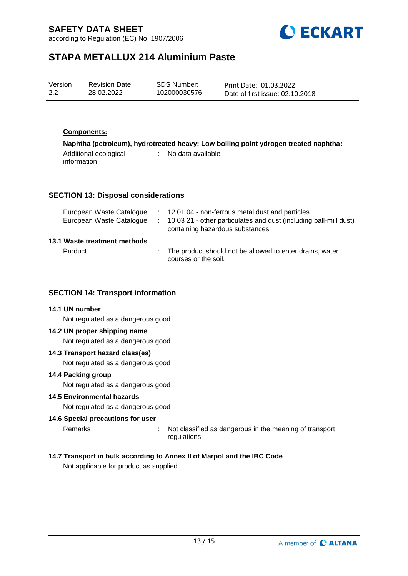according to Regulation (EC) No. 1907/2006



# **STAPA METALLUX 214 Aluminium Paste**

| Version | <b>Revision Date:</b> | SDS Number:  | Print Date: 01.03.2022          |
|---------|-----------------------|--------------|---------------------------------|
| 2.2     | 28.02.2022            | 102000030576 | Date of first issue: 02.10.2018 |

### **Components:**

**Naphtha (petroleum), hydrotreated heavy; Low boiling point ydrogen treated naphtha:** Additional ecological information : No data available

### **SECTION 13: Disposal considerations**

| European Waste Catalogue<br>European Waste Catalogue | : 12 01 04 - non-ferrous metal dust and particles<br>: 10 03 21 - other particulates and dust (including ball-mill dust)<br>containing hazardous substances |
|------------------------------------------------------|-------------------------------------------------------------------------------------------------------------------------------------------------------------|
| 13.1 Waste treatment methods                         |                                                                                                                                                             |
| Product                                              | : The product should not be allowed to enter drains, water<br>courses or the soil.                                                                          |

### **SECTION 14: Transport information**

#### **14.1 UN number**

Not regulated as a dangerous good

### **14.2 UN proper shipping name**

Not regulated as a dangerous good

#### **14.3 Transport hazard class(es)**

Not regulated as a dangerous good

#### **14.4 Packing group**

Not regulated as a dangerous good

### **14.5 Environmental hazards**

Not regulated as a dangerous good

### **14.6 Special precautions for user**

Remarks : Not classified as dangerous in the meaning of transport regulations.

### **14.7 Transport in bulk according to Annex II of Marpol and the IBC Code**

Not applicable for product as supplied.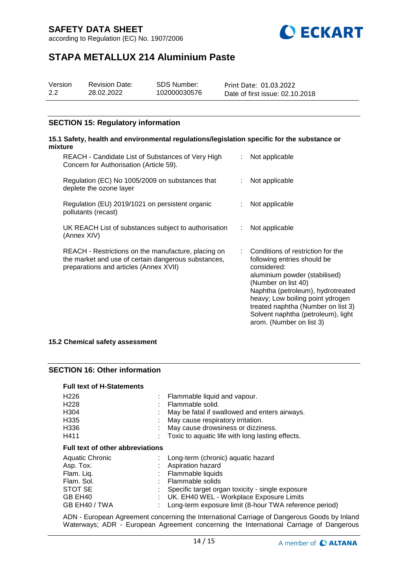according to Regulation (EC) No. 1907/2006



# **STAPA METALLUX 214 Aluminium Paste**

| Version | <b>Revision Date:</b> | SDS Number:  | Print Date: 01.03.2022          |
|---------|-----------------------|--------------|---------------------------------|
| 2.2     | 28.02.2022            | 102000030576 | Date of first issue: 02.10.2018 |

### **SECTION 15: Regulatory information**

#### **15.1 Safety, health and environmental regulations/legislation specific for the substance or mixture** REACH - Candidate List of Substances of Very High Concern for Authorisation (Article 59). : Not applicable Regulation (EC) No 1005/2009 on substances that deplete the ozone layer : Not applicable Regulation (EU) 2019/1021 on persistent organic pollutants (recast) : Not applicable UK REACH List of substances subject to authorisation (Annex XIV) : Not applicable REACH - Restrictions on the manufacture, placing on the market and use of certain dangerous substances, preparations and articles (Annex XVII) : Conditions of restriction for the following entries should be considered: aluminium powder (stabilised) (Number on list 40) Naphtha (petroleum), hydrotreated heavy; Low boiling point ydrogen treated naphtha (Number on list 3) Solvent naphtha (petroleum), light arom. (Number on list 3)

**15.2 Chemical safety assessment**

### **SECTION 16: Other information**

### **Full text of H-Statements**

| H <sub>226</sub>                        | Flammable liquid and vapour.                     |  |
|-----------------------------------------|--------------------------------------------------|--|
| H <sub>228</sub>                        | Flammable solid.                                 |  |
| H <sub>304</sub>                        | May be fatal if swallowed and enters airways.    |  |
| H335                                    | May cause respiratory irritation.                |  |
| H336                                    | May cause drowsiness or dizziness.               |  |
| H411                                    | Toxic to aquatic life with long lasting effects. |  |
| <b>Full text of other abbreviations</b> |                                                  |  |
| Aquatic Chronic                         | Long-term (chronic) aquatic hazard               |  |
| Asp. Tox.                               | Aspiration hazard                                |  |
| Flam. Liq.                              | Flammable liquids                                |  |
| Flam. Sol.                              | Flammable solids                                 |  |
| STOT SE                                 | Specific target organ toxicity - single exposure |  |
| GB EH40                                 | UK. EH40 WEL - Workplace Exposure Limits         |  |
|                                         |                                                  |  |

GB EH40 / TWA : Long-term exposure limit (8-hour TWA reference period)

ADN - European Agreement concerning the International Carriage of Dangerous Goods by Inland Waterways; ADR - European Agreement concerning the International Carriage of Dangerous